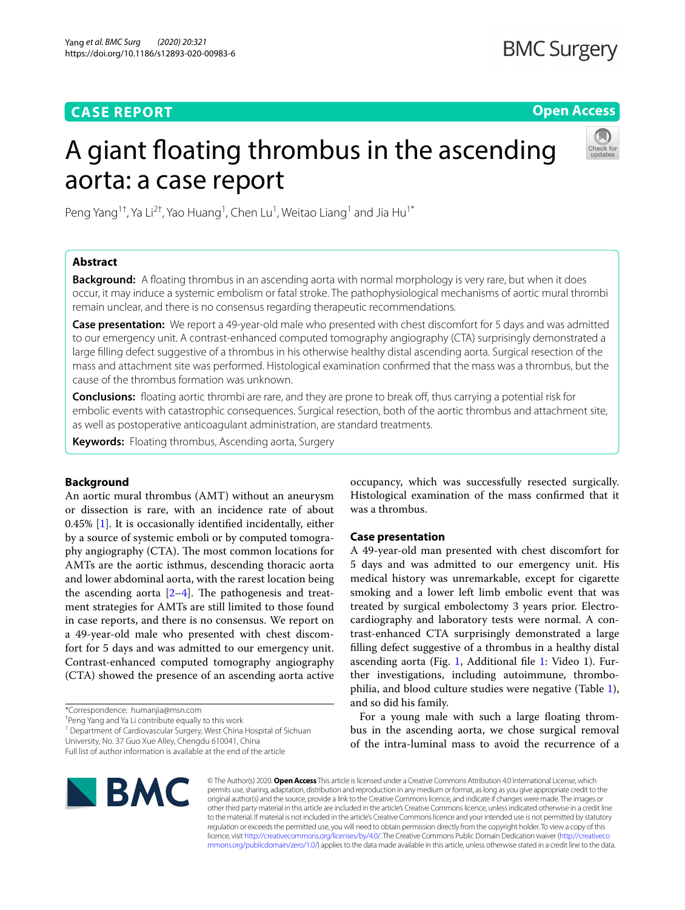# **CASE REPORT**

**Open Access**

# A giant floating thrombus in the ascending aorta: a case report



Peng Yang<sup>1†</sup>, Ya Li<sup>2†</sup>, Yao Huang<sup>1</sup>, Chen Lu<sup>1</sup>, Weitao Liang<sup>1</sup> and Jia Hu<sup>1\*</sup>

# **Abstract**

**Background:** A foating thrombus in an ascending aorta with normal morphology is very rare, but when it does occur, it may induce a systemic embolism or fatal stroke. The pathophysiological mechanisms of aortic mural thrombi remain unclear, and there is no consensus regarding therapeutic recommendations.

**Case presentation:** We report a 49-year-old male who presented with chest discomfort for 5 days and was admitted to our emergency unit. A contrast-enhanced computed tomography angiography (CTA) surprisingly demonstrated a large flling defect suggestive of a thrombus in his otherwise healthy distal ascending aorta. Surgical resection of the mass and attachment site was performed. Histological examination confrmed that the mass was a thrombus, but the cause of the thrombus formation was unknown.

**Conclusions:** floating aortic thrombi are rare, and they are prone to break off, thus carrying a potential risk for embolic events with catastrophic consequences. Surgical resection, both of the aortic thrombus and attachment site, as well as postoperative anticoagulant administration, are standard treatments.

**Keywords:** Floating thrombus, Ascending aorta, Surgery

# **Background**

An aortic mural thrombus (AMT) without an aneurysm or dissection is rare, with an incidence rate of about 0.45% [[1\]](#page-5-0). It is occasionally identifed incidentally, either by a source of systemic emboli or by computed tomography angiography (CTA). The most common locations for AMTs are the aortic isthmus, descending thoracic aorta and lower abdominal aorta, with the rarest location being the ascending aorta  $[2-4]$  $[2-4]$  $[2-4]$ . The pathogenesis and treatment strategies for AMTs are still limited to those found in case reports, and there is no consensus. We report on a 49-year-old male who presented with chest discomfort for 5 days and was admitted to our emergency unit. Contrast-enhanced computed tomography angiography (CTA) showed the presence of an ascending aorta active

\*Correspondence: humanjia@msn.com

† Peng Yang and Ya Li contribute equally to this work

<sup>1</sup> Department of Cardiovascular Surgery, West China Hospital of Sichuan University, No. 37 Guo Xue Alley, Chengdu 610041, China

occupancy, which was successfully resected surgically. Histological examination of the mass confrmed that it was a thrombus.

### **Case presentation**

A 49-year-old man presented with chest discomfort for 5 days and was admitted to our emergency unit. His medical history was unremarkable, except for cigarette smoking and a lower left limb embolic event that was treated by surgical embolectomy 3 years prior. Electrocardiography and laboratory tests were normal. A contrast-enhanced CTA surprisingly demonstrated a large flling defect suggestive of a thrombus in a healthy distal ascending aorta (Fig. [1](#page-1-0), Additional fle [1](#page-4-0): Video 1). Further investigations, including autoimmune, thrombophilia, and blood culture studies were negative (Table [1](#page-2-0)), and so did his family.

For a young male with such a large foating thrombus in the ascending aorta, we chose surgical removal of the intra-luminal mass to avoid the recurrence of a



© The Author(s) 2020. **Open Access** This article is licensed under a Creative Commons Attribution 4.0 International License, which permits use, sharing, adaptation, distribution and reproduction in any medium or format, as long as you give appropriate credit to the original author(s) and the source, provide a link to the Creative Commons licence, and indicate if changes were made. The images or other third party material in this article are included in the article's Creative Commons licence, unless indicated otherwise in a credit line to the material. If material is not included in the article's Creative Commons licence and your intended use is not permitted by statutory regulation or exceeds the permitted use, you will need to obtain permission directly from the copyright holder. To view a copy of this licence, visit [http://creativecommons.org/licenses/by/4.0/.](http://creativecommons.org/licenses/by/4.0/) The Creative Commons Public Domain Dedication waiver ([http://creativeco](http://creativecommons.org/publicdomain/zero/1.0/) [mmons.org/publicdomain/zero/1.0/](http://creativecommons.org/publicdomain/zero/1.0/)) applies to the data made available in this article, unless otherwise stated in a credit line to the data.

Full list of author information is available at the end of the article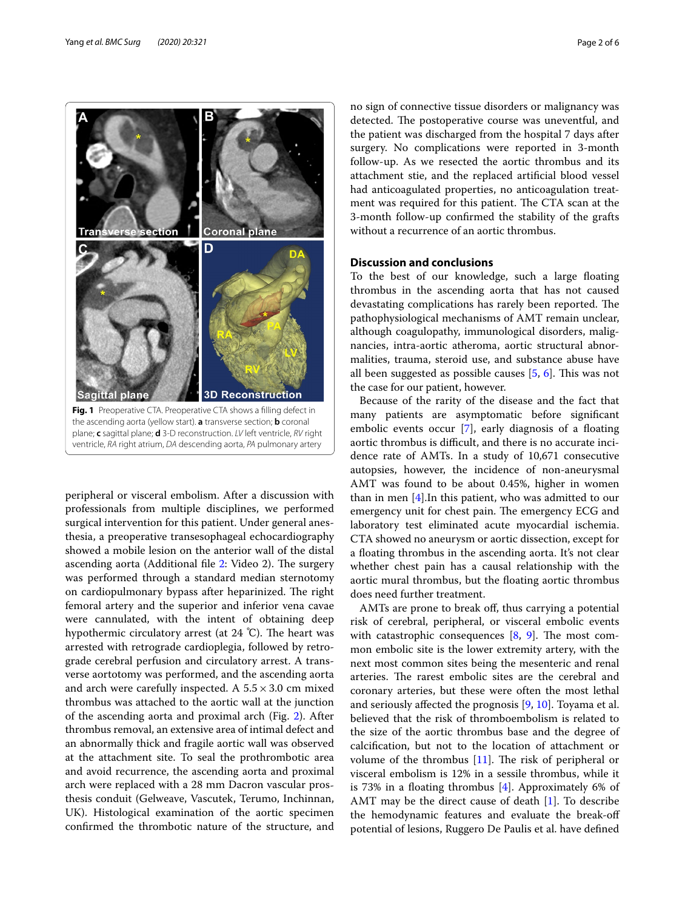

<span id="page-1-0"></span>peripheral or visceral embolism. After a discussion with professionals from multiple disciplines, we performed surgical intervention for this patient. Under general anesthesia, a preoperative transesophageal echocardiography showed a mobile lesion on the anterior wall of the distal ascending aorta (Additional file [2](#page-4-1): Video 2). The surgery was performed through a standard median sternotomy on cardiopulmonary bypass after heparinized. The right femoral artery and the superior and inferior vena cavae were cannulated, with the intent of obtaining deep hypothermic circulatory arrest (at  $24^{\circ}$ C). The heart was arrested with retrograde cardioplegia, followed by retrograde cerebral perfusion and circulatory arrest. A transverse aortotomy was performed, and the ascending aorta and arch were carefully inspected. A  $5.5 \times 3.0$  cm mixed thrombus was attached to the aortic wall at the junction of the ascending aorta and proximal arch (Fig. [2](#page-2-1)). After thrombus removal, an extensive area of intimal defect and an abnormally thick and fragile aortic wall was observed at the attachment site. To seal the prothrombotic area and avoid recurrence, the ascending aorta and proximal arch were replaced with a 28 mm Dacron vascular prosthesis conduit (Gelweave, Vascutek, Terumo, Inchinnan, UK). Histological examination of the aortic specimen confrmed the thrombotic nature of the structure, and no sign of connective tissue disorders or malignancy was detected. The postoperative course was uneventful, and the patient was discharged from the hospital 7 days after surgery. No complications were reported in 3-month follow-up. As we resected the aortic thrombus and its attachment stie, and the replaced artifcial blood vessel had anticoagulated properties, no anticoagulation treatment was required for this patient. The CTA scan at the 3-month follow-up confrmed the stability of the grafts without a recurrence of an aortic thrombus.

# **Discussion and conclusions**

To the best of our knowledge, such a large foating thrombus in the ascending aorta that has not caused devastating complications has rarely been reported. The pathophysiological mechanisms of AMT remain unclear, although coagulopathy, immunological disorders, malignancies, intra-aortic atheroma, aortic structural abnormalities, trauma, steroid use, and substance abuse have all been suggested as possible causes  $[5, 6]$  $[5, 6]$  $[5, 6]$  $[5, 6]$ . This was not the case for our patient, however.

Because of the rarity of the disease and the fact that many patients are asymptomatic before signifcant embolic events occur [[7\]](#page-5-5), early diagnosis of a foating aortic thrombus is difficult, and there is no accurate incidence rate of AMTs. In a study of 10,671 consecutive autopsies, however, the incidence of non-aneurysmal AMT was found to be about 0.45%, higher in women than in men [\[4](#page-5-2)].In this patient, who was admitted to our emergency unit for chest pain. The emergency ECG and laboratory test eliminated acute myocardial ischemia. CTA showed no aneurysm or aortic dissection, except for a foating thrombus in the ascending aorta. It's not clear whether chest pain has a causal relationship with the aortic mural thrombus, but the foating aortic thrombus does need further treatment.

AMTs are prone to break off, thus carrying a potential risk of cerebral, peripheral, or visceral embolic events with catastrophic consequences  $[8, 9]$  $[8, 9]$  $[8, 9]$ . The most common embolic site is the lower extremity artery, with the next most common sites being the mesenteric and renal arteries. The rarest embolic sites are the cerebral and coronary arteries, but these were often the most lethal and seriously afected the prognosis [[9,](#page-5-7) [10](#page-5-8)]. Toyama et al. believed that the risk of thromboembolism is related to the size of the aortic thrombus base and the degree of calcifcation, but not to the location of attachment or volume of the thrombus  $[11]$  $[11]$  $[11]$ . The risk of peripheral or visceral embolism is 12% in a sessile thrombus, while it is 73% in a floating thrombus  $[4]$  $[4]$ . Approximately 6% of AMT may be the direct cause of death [\[1](#page-5-0)]. To describe the hemodynamic features and evaluate the break-of potential of lesions, Ruggero De Paulis et al. have defned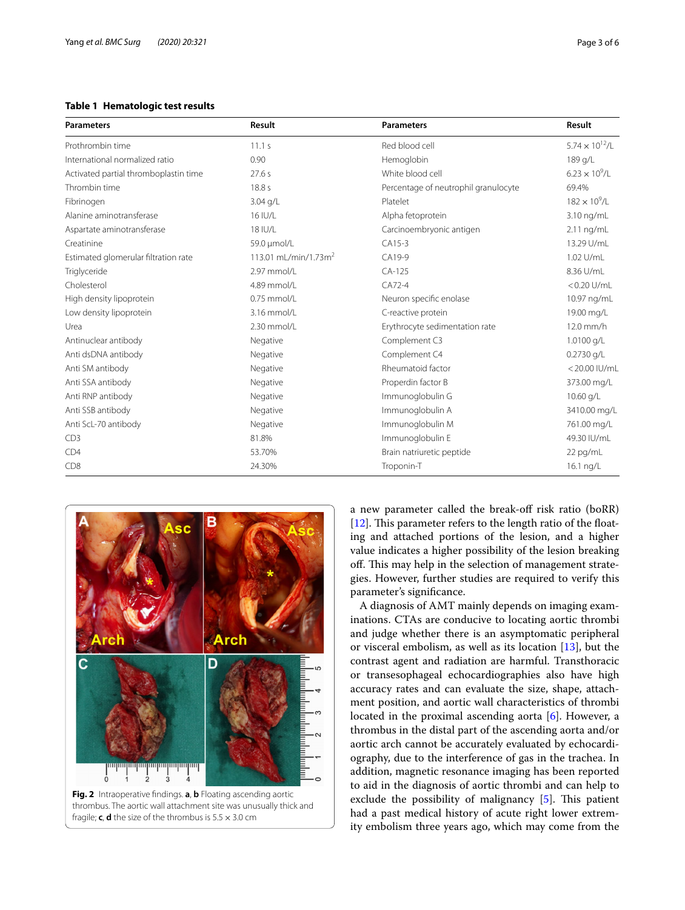# <span id="page-2-0"></span>**Table 1 Hematologic test results**

| <b>Parameters</b>                     | Result                           | <b>Parameters</b>                    | Result                   |
|---------------------------------------|----------------------------------|--------------------------------------|--------------------------|
| Prothrombin time                      | 11.1 s                           | Red blood cell                       | $5.74 \times 10^{12}$ /L |
| International normalized ratio        | 0.90                             | Hemoglobin                           | 189 g/L                  |
| Activated partial thromboplastin time | 27.6 s                           | White blood cell                     | $6.23 \times 10^{9}$ /L  |
| Thrombin time                         | 18.8 s                           | Percentage of neutrophil granulocyte | 69.4%                    |
| Fibrinogen                            | 3.04 g/L                         | Platelet                             | $182 \times 10^{9}$ /L   |
| Alanine aminotransferase              | 16 IU/L                          | Alpha fetoprotein                    | 3.10 ng/mL               |
| Aspartate aminotransferase            | 18 IU/L                          | Carcinoembryonic antigen             | $2.11$ ng/mL             |
| Creatinine                            | 59.0 µmol/L                      | CA15-3                               | 13.29 U/mL               |
| Estimated glomerular filtration rate  | 113.01 mL/min/1.73m <sup>2</sup> | CA19-9                               | 1.02 U/mL                |
| Triglyceride                          | 2.97 mmol/l                      | $CA-125$                             | 8.36 U/mL                |
| Cholesterol                           | 4.89 mmol/L                      | $CA72-4$                             | $< 0.20$ U/mL            |
| High density lipoprotein              | $0.75$ mmol/L                    | Neuron specific enolase              | 10.97 ng/mL              |
| Low density lipoprotein               | 3.16 mmol/L                      | C-reactive protein                   | 19.00 mg/L               |
| Urea                                  | 2.30 mmol/L                      | Erythrocyte sedimentation rate       | $12.0$ mm/h              |
| Antinuclear antibody                  | Negative                         | Complement C3                        | 1.0100 g/L               |
| Anti dsDNA antibody                   | Negative                         | Complement C4                        | $0.2730$ g/L             |
| Anti SM antibody                      | Negative                         | Rheumatoid factor                    | <20.00 IU/mL             |
| Anti SSA antibody                     | Negative                         | Properdin factor B                   | 373.00 mg/L              |
| Anti RNP antibody                     | Negative                         | Immunoglobulin G                     | 10.60 g/L                |
| Anti SSB antibody                     | Negative                         | Immunoglobulin A                     | 3410.00 mg/L             |
| Anti ScL-70 antibody                  | Negative                         | Immunoglobulin M                     | 761.00 mg/L              |
| CD3                                   | 81.8%                            | Immunoglobulin E                     | 49.30 IU/mL              |
| CD4                                   | 53.70%                           | Brain natriuretic peptide            | 22 pg/mL                 |
| CD8                                   | 24.30%                           | Troponin-T                           | 16.1 ng/L                |

<span id="page-2-1"></span>

a new parameter called the break-off risk ratio (boRR)  $[12]$  $[12]$ . This parameter refers to the length ratio of the floating and attached portions of the lesion, and a higher value indicates a higher possibility of the lesion breaking off. This may help in the selection of management strategies. However, further studies are required to verify this parameter's signifcance.

A diagnosis of AMT mainly depends on imaging examinations. CTAs are conducive to locating aortic thrombi and judge whether there is an asymptomatic peripheral or visceral embolism, as well as its location [[13](#page-5-11)], but the contrast agent and radiation are harmful. Transthoracic or transesophageal echocardiographies also have high accuracy rates and can evaluate the size, shape, attachment position, and aortic wall characteristics of thrombi located in the proximal ascending aorta [\[6](#page-5-4)]. However, a thrombus in the distal part of the ascending aorta and/or aortic arch cannot be accurately evaluated by echocardiography, due to the interference of gas in the trachea. In addition, magnetic resonance imaging has been reported to aid in the diagnosis of aortic thrombi and can help to exclude the possibility of malignancy  $[5]$  $[5]$ . This patient had a past medical history of acute right lower extremity embolism three years ago, which may come from the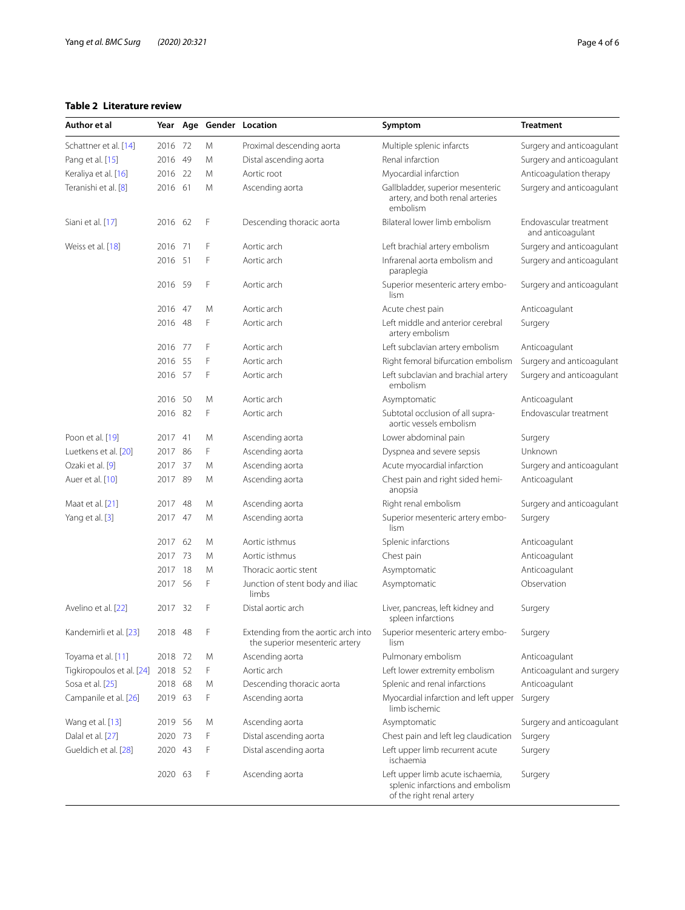# <span id="page-3-0"></span>**Table 2 Literature review**

| Author et al              |         |     |   | Year Age Gender Location                                              | Symptom                                                                                           | <b>Treatment</b>                            |
|---------------------------|---------|-----|---|-----------------------------------------------------------------------|---------------------------------------------------------------------------------------------------|---------------------------------------------|
| Schattner et al. [14]     | 2016 72 |     | M | Proximal descending aorta                                             | Multiple splenic infarcts                                                                         | Surgery and anticoagulant                   |
| Pang et al. [15]          | 2016 49 |     | M | Distal ascending aorta                                                | Renal infarction                                                                                  | Surgery and anticoagulant                   |
| Keraliya et al. [16]      | 2016 22 |     | M | Aortic root                                                           | Myocardial infarction                                                                             | Anticoagulation therapy                     |
| Teranishi et al. [8]      | 2016 61 |     | M | Ascending aorta                                                       | Gallbladder, superior mesenteric<br>artery, and both renal arteries<br>embolism                   | Surgery and anticoagulant                   |
| Siani et al. [17]         | 2016 62 |     | F | Descending thoracic aorta                                             | Bilateral lower limb embolism                                                                     | Endovascular treatment<br>and anticoagulant |
| Weiss et al. [18]         | 2016    | 71  | F | Aortic arch                                                           | Left brachial artery embolism                                                                     | Surgery and anticoagulant                   |
|                           | 2016 51 |     | F | Aortic arch                                                           | Infrarenal aorta embolism and<br>paraplegia                                                       | Surgery and anticoagulant                   |
|                           | 2016 59 |     | F | Aortic arch                                                           | Superior mesenteric artery embo-<br>lism                                                          | Surgery and anticoagulant                   |
|                           | 2016 47 |     | M | Aortic arch                                                           | Acute chest pain                                                                                  | Anticoagulant                               |
|                           | 2016 48 |     | F | Aortic arch                                                           | Left middle and anterior cerebral<br>artery embolism                                              | Surgery                                     |
|                           | 2016 77 |     | F | Aortic arch                                                           | Left subclavian artery embolism                                                                   | Anticoagulant                               |
|                           | 2016 55 |     | F | Aortic arch                                                           | Right femoral bifurcation embolism                                                                | Surgery and anticoagulant                   |
|                           | 2016 57 |     | F | Aortic arch                                                           | Left subclavian and brachial artery<br>embolism                                                   | Surgery and anticoagulant                   |
|                           | 2016    | -50 | M | Aortic arch                                                           | Asymptomatic                                                                                      | Anticoagulant                               |
|                           | 2016 82 |     | F | Aortic arch                                                           | Subtotal occlusion of all supra-<br>aortic vessels embolism                                       | Endovascular treatment                      |
| Poon et al. [19]          | 2017 41 |     | M | Ascending aorta                                                       | Lower abdominal pain                                                                              | Surgery                                     |
| Luetkens et al. [20]      | 2017 86 |     | F | Ascending aorta                                                       | Dyspnea and severe sepsis                                                                         | Unknown                                     |
| Ozaki et al. [9]          | 2017 37 |     | M | Ascending aorta                                                       | Acute myocardial infarction                                                                       | Surgery and anticoagulant                   |
| Auer et al. [10]          | 2017 89 |     | M | Ascending aorta                                                       | Chest pain and right sided hemi-<br>anopsia                                                       | Anticoagulant                               |
| Maat et al. [21]          | 2017    | 48  | M | Ascending aorta                                                       | Right renal embolism                                                                              | Surgery and anticoagulant                   |
| Yang et al. [3]           | 2017 47 |     | M | Ascending aorta                                                       | Superior mesenteric artery embo-<br>lism                                                          | Surgery                                     |
|                           | 2017 62 |     | M | Aortic isthmus                                                        | Splenic infarctions                                                                               | Anticoagulant                               |
|                           | 2017 73 |     | M | Aortic isthmus                                                        | Chest pain                                                                                        | Anticoagulant                               |
|                           | 2017 18 |     | M | Thoracic aortic stent                                                 | Asymptomatic                                                                                      | Anticoagulant                               |
|                           | 2017 56 |     | F | Junction of stent body and iliac<br>limbs                             | Asymptomatic                                                                                      | Observation                                 |
| Avelino et al. [22]       | 2017 32 |     | F | Distal aortic arch                                                    | Liver, pancreas, left kidney and<br>spleen infarctions                                            | Surgery                                     |
| Kandemirli et al. [23]    | 2018    | 48  | F | Extending from the aortic arch into<br>the superior mesenteric artery | Superior mesenteric artery embo-<br>lism                                                          | Surgery                                     |
| Toyama et al. [11]        | 2018 72 |     | M | Ascending aorta                                                       | Pulmonary embolism                                                                                | Anticoagulant                               |
| Tigkiropoulos et al. [24] | 2018 52 |     | F | Aortic arch                                                           | Left lower extremity embolism                                                                     | Anticoagulant and surgery                   |
| Sosa et al. [25]          | 2018 68 |     | M | Descending thoracic aorta                                             | Splenic and renal infarctions                                                                     | Anticoagulant                               |
| Campanile et al. [26]     | 2019 63 |     | F | Ascending aorta                                                       | Myocardial infarction and left upper<br>limb ischemic                                             | Surgery                                     |
| Wang et al. [13]          | 2019 56 |     | M | Ascending aorta                                                       | Asymptomatic                                                                                      | Surgery and anticoagulant                   |
| Dalal et al. [27]         | 2020 73 |     | F | Distal ascending aorta                                                | Chest pain and left leg claudication                                                              | Surgery                                     |
| Gueldich et al. [28]      | 2020 43 |     | F | Distal ascending aorta                                                | Left upper limb recurrent acute<br>ischaemia                                                      | Surgery                                     |
|                           | 2020 63 |     | F | Ascending aorta                                                       | Left upper limb acute ischaemia,<br>splenic infarctions and embolism<br>of the right renal artery | Surgery                                     |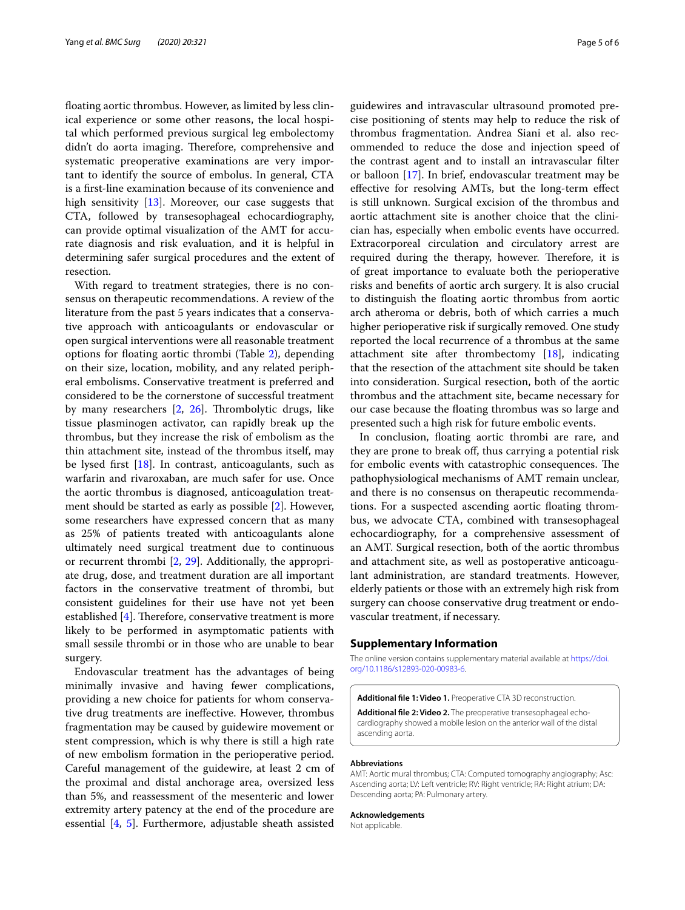foating aortic thrombus. However, as limited by less clinical experience or some other reasons, the local hospital which performed previous surgical leg embolectomy didn't do aorta imaging. Therefore, comprehensive and systematic preoperative examinations are very important to identify the source of embolus. In general, CTA is a frst-line examination because of its convenience and high sensitivity [\[13](#page-5-11)]. Moreover, our case suggests that CTA, followed by transesophageal echocardiography, can provide optimal visualization of the AMT for accurate diagnosis and risk evaluation, and it is helpful in determining safer surgical procedures and the extent of resection.

With regard to treatment strategies, there is no consensus on therapeutic recommendations. A review of the literature from the past 5 years indicates that a conservative approach with anticoagulants or endovascular or open surgical interventions were all reasonable treatment options for foating aortic thrombi (Table [2\)](#page-3-0), depending on their size, location, mobility, and any related peripheral embolisms. Conservative treatment is preferred and considered to be the cornerstone of successful treatment by many researchers [[2,](#page-5-1) [26\]](#page-5-25). Thrombolytic drugs, like tissue plasminogen activator, can rapidly break up the thrombus, but they increase the risk of embolism as the thin attachment site, instead of the thrombus itself, may be lysed frst [[18\]](#page-5-16). In contrast, anticoagulants, such as warfarin and rivaroxaban, are much safer for use. Once the aortic thrombus is diagnosed, anticoagulation treatment should be started as early as possible [[2\]](#page-5-1). However, some researchers have expressed concern that as many as 25% of patients treated with anticoagulants alone ultimately need surgical treatment due to continuous or recurrent thrombi [[2,](#page-5-1) [29\]](#page-5-28). Additionally, the appropriate drug, dose, and treatment duration are all important factors in the conservative treatment of thrombi, but consistent guidelines for their use have not yet been established  $[4]$  $[4]$  $[4]$ . Therefore, conservative treatment is more likely to be performed in asymptomatic patients with small sessile thrombi or in those who are unable to bear surgery.

Endovascular treatment has the advantages of being minimally invasive and having fewer complications, providing a new choice for patients for whom conservative drug treatments are inefective. However, thrombus fragmentation may be caused by guidewire movement or stent compression, which is why there is still a high rate of new embolism formation in the perioperative period. Careful management of the guidewire, at least 2 cm of the proximal and distal anchorage area, oversized less than 5%, and reassessment of the mesenteric and lower extremity artery patency at the end of the procedure are essential [[4,](#page-5-2) [5\]](#page-5-3). Furthermore, adjustable sheath assisted guidewires and intravascular ultrasound promoted precise positioning of stents may help to reduce the risk of thrombus fragmentation. Andrea Siani et al. also recommended to reduce the dose and injection speed of the contrast agent and to install an intravascular flter or balloon [[17](#page-5-15)]. In brief, endovascular treatment may be efective for resolving AMTs, but the long-term efect is still unknown. Surgical excision of the thrombus and aortic attachment site is another choice that the clinician has, especially when embolic events have occurred. Extracorporeal circulation and circulatory arrest are required during the therapy, however. Therefore, it is of great importance to evaluate both the perioperative risks and benefts of aortic arch surgery. It is also crucial to distinguish the foating aortic thrombus from aortic arch atheroma or debris, both of which carries a much higher perioperative risk if surgically removed. One study reported the local recurrence of a thrombus at the same attachment site after thrombectomy [[18](#page-5-16)], indicating that the resection of the attachment site should be taken into consideration. Surgical resection, both of the aortic thrombus and the attachment site, became necessary for our case because the foating thrombus was so large and presented such a high risk for future embolic events.

In conclusion, foating aortic thrombi are rare, and they are prone to break off, thus carrying a potential risk for embolic events with catastrophic consequences. The pathophysiological mechanisms of AMT remain unclear, and there is no consensus on therapeutic recommendations. For a suspected ascending aortic foating thrombus, we advocate CTA, combined with transesophageal echocardiography, for a comprehensive assessment of an AMT. Surgical resection, both of the aortic thrombus and attachment site, as well as postoperative anticoagulant administration, are standard treatments. However, elderly patients or those with an extremely high risk from surgery can choose conservative drug treatment or endovascular treatment, if necessary.

#### **Supplementary Information**

The online version contains supplementary material available at [https://doi.](https://doi.org/10.1186/s12893-020-00983-6) [org/10.1186/s12893-020-00983-6](https://doi.org/10.1186/s12893-020-00983-6).

<span id="page-4-1"></span><span id="page-4-0"></span>**Additional fle 1: Video 1.** Preoperative CTA 3D reconstruction.

**Additional fle 2: Video 2.** The preoperative transesophageal echocardiography showed a mobile lesion on the anterior wall of the distal ascending aorta.

#### **Abbreviations**

AMT: Aortic mural thrombus; CTA: Computed tomography angiography; Asc: Ascending aorta; LV: Left ventricle; RV: Right ventricle; RA: Right atrium; DA: Descending aorta; PA: Pulmonary artery.

#### **Acknowledgements**

Not applicable.